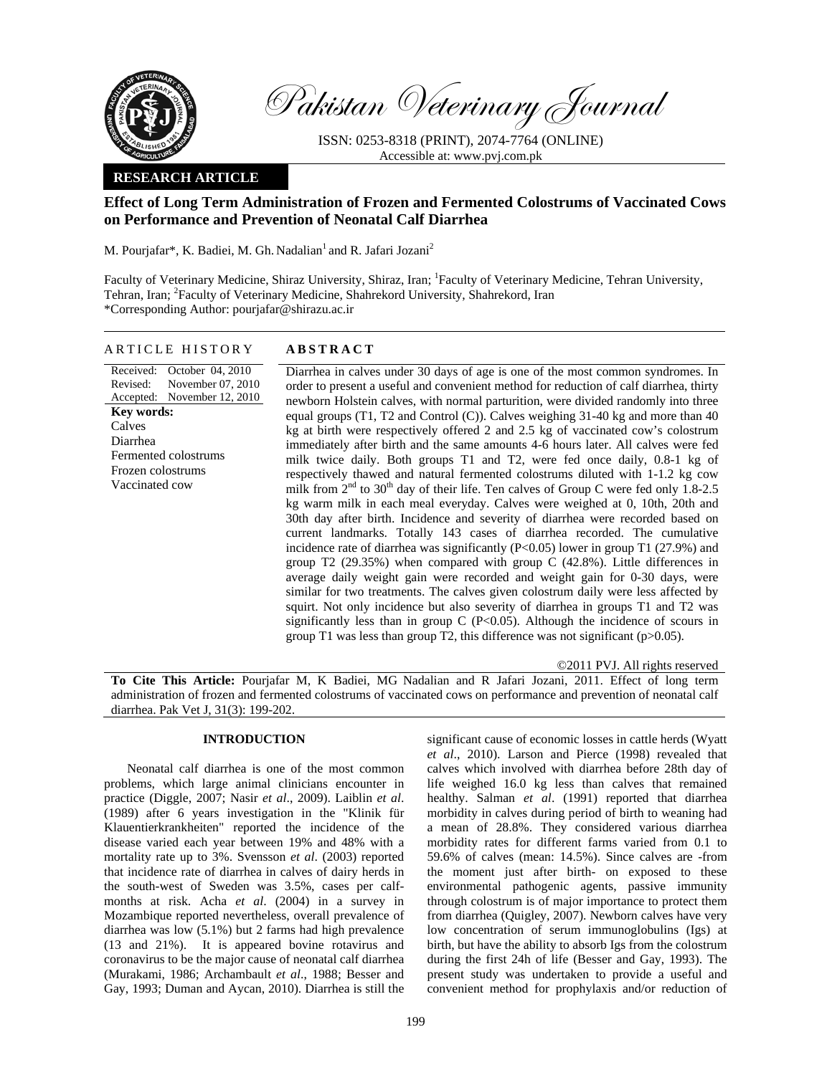

Pakistan Veterinary Journal

ISSN: 0253-8318 (PRINT), 2074-7764 (ONLINE) Accessible at: www.pvj.com.pk

# **RESEARCH ARTICLE**

# **Effect of Long Term Administration of Frozen and Fermented Colostrums of Vaccinated Cows on Performance and Prevention of Neonatal Calf Diarrhea**

M. Pourjafar\*, K. Badiei, M. Gh. Nadalian<sup>1</sup> and R. Jafari Jozani<sup>2</sup>

Faculty of Veterinary Medicine, Shiraz University, Shiraz, Iran; <sup>1</sup>Faculty of Veterinary Medicine, Tehran University, Tehran, Iran; <sup>2</sup>Faculty of Veterinary Medicine, Shahrekord University, Shahrekord, Iran \*Corresponding Author: pourjafar@shirazu.ac.ir

### ARTICLE HISTORY **ABSTRACT**

Received: Revised: Accepted: October 04, 2010 November 07, 2010 November 12, 2010 **Key words:**  Calves Diarrhea Fermented colostrums Frozen colostrums Vaccinated cow

Diarrhea in calves under 30 days of age is one of the most common syndromes. In order to present a useful and convenient method for reduction of calf diarrhea, thirty newborn Holstein calves, with normal parturition, were divided randomly into three equal groups (T1, T2 and Control (C)). Calves weighing 31-40 kg and more than 40 kg at birth were respectively offered 2 and 2.5 kg of vaccinated cow's colostrum immediately after birth and the same amounts 4-6 hours later. All calves were fed milk twice daily. Both groups T1 and T2, were fed once daily, 0.8-1 kg of respectively thawed and natural fermented colostrums diluted with 1-1.2 kg cow milk from  $2<sup>nd</sup>$  to  $30<sup>th</sup>$  day of their life. Ten calves of Group C were fed only 1.8-2.5 kg warm milk in each meal everyday. Calves were weighed at 0, 10th, 20th and 30th day after birth. Incidence and severity of diarrhea were recorded based on current landmarks. Totally 143 cases of diarrhea recorded. The cumulative incidence rate of diarrhea was significantly  $(P<0.05)$  lower in group T1 (27.9%) and group T2 (29.35%) when compared with group C (42.8%). Little differences in average daily weight gain were recorded and weight gain for 0-30 days, were similar for two treatments. The calves given colostrum daily were less affected by squirt. Not only incidence but also severity of diarrhea in groups T1 and T2 was significantly less than in group  $C$  (P<0.05). Although the incidence of scours in group T1 was less than group T2, this difference was not significant ( $p > 0.05$ ).

©2011 PVJ. All rights reserved

**To Cite This Article:** Pourjafar M, K Badiei, MG Nadalian and R Jafari Jozani, 2011. Effect of long term administration of frozen and fermented colostrums of vaccinated cows on performance and prevention of neonatal calf diarrhea. Pak Vet J, 31(3): 199-202.

# **INTRODUCTION**

Neonatal calf diarrhea is one of the most common problems, which large animal clinicians encounter in practice (Diggle, 2007; Nasir *et al*., 2009). Laiblin *et al*. (1989) after 6 years investigation in the "Klinik für Klauentierkrankheiten" reported the incidence of the disease varied each year between 19% and 48% with a mortality rate up to 3%. Svensson *et al*. (2003) reported that incidence rate of diarrhea in calves of dairy herds in the south-west of Sweden was 3.5%, cases per calfmonths at risk. Acha *et al*. (2004) in a survey in Mozambique reported nevertheless, overall prevalence of diarrhea was low (5.1%) but 2 farms had high prevalence (13 and 21%). It is appeared bovine rotavirus and coronavirus to be the major cause of neonatal calf diarrhea (Murakami, 1986; Archambault *et al*., 1988; Besser and Gay, 1993; Duman and Aycan, 2010). Diarrhea is still the

significant cause of economic losses in cattle herds (Wyatt *et al*., 2010). Larson and Pierce (1998) revealed that calves which involved with diarrhea before 28th day of life weighed 16.0 kg less than calves that remained healthy. Salman *et al*. (1991) reported that diarrhea morbidity in calves during period of birth to weaning had a mean of 28.8%. They considered various diarrhea morbidity rates for different farms varied from 0.1 to 59.6% of calves (mean: 14.5%). Since calves are -from the moment just after birth- on exposed to these environmental pathogenic agents, passive immunity through colostrum is of major importance to protect them from diarrhea (Quigley, 2007). Newborn calves have very low concentration of serum immunoglobulins (Igs) at birth, but have the ability to absorb Igs from the colostrum during the first 24h of life (Besser and Gay, 1993). The present study was undertaken to provide a useful and convenient method for prophylaxis and/or reduction of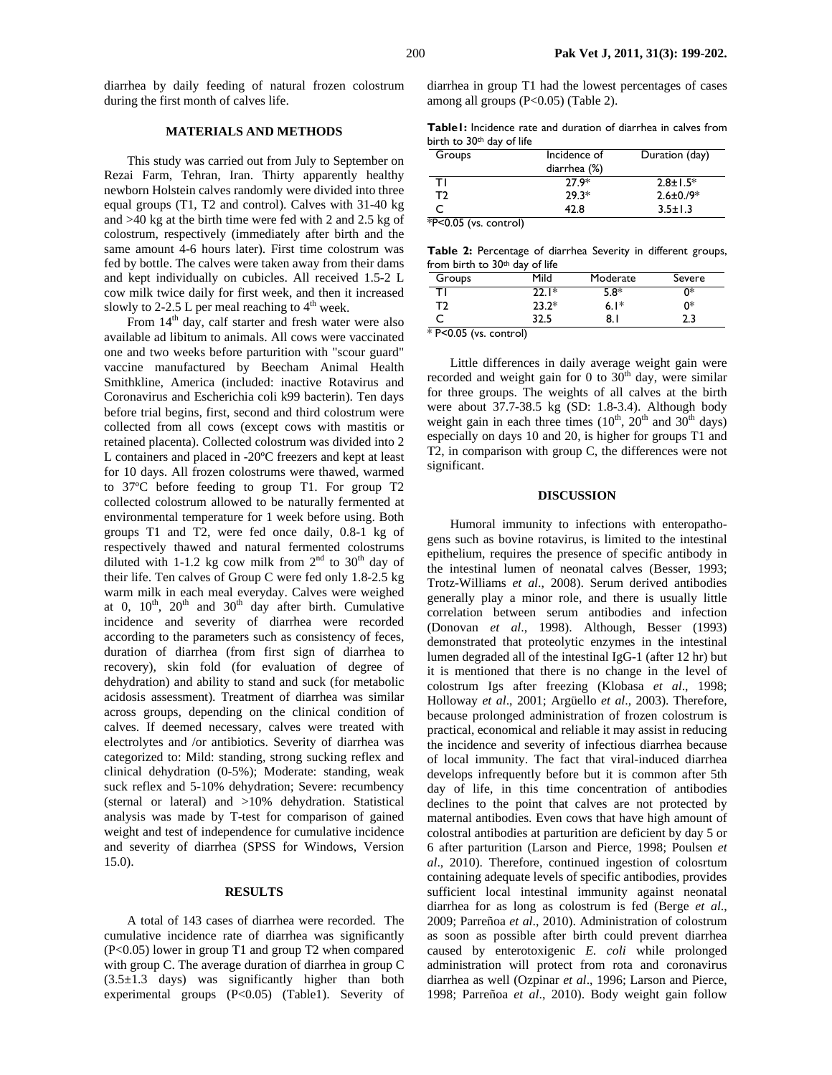diarrhea by daily feeding of natural frozen colostrum during the first month of calves life.

## **MATERIALS AND METHODS**

This study was carried out from July to September on Rezai Farm, Tehran, Iran. Thirty apparently healthy newborn Holstein calves randomly were divided into three equal groups (T1, T2 and control). Calves with 31-40 kg and >40 kg at the birth time were fed with 2 and 2.5 kg of colostrum, respectively (immediately after birth and the same amount 4-6 hours later). First time colostrum was fed by bottle. The calves were taken away from their dams and kept individually on cubicles. All received 1.5-2 L cow milk twice daily for first week, and then it increased slowly to 2-2.5 L per meal reaching to  $4<sup>th</sup>$  week.

From 14<sup>th</sup> day, calf starter and fresh water were also available ad libitum to animals. All cows were vaccinated one and two weeks before parturition with "scour guard" vaccine manufactured by Beecham Animal Health Smithkline, America (included: inactive Rotavirus and Coronavirus and Escherichia coli k99 bacterin). Ten days before trial begins, first, second and third colostrum were collected from all cows (except cows with mastitis or retained placenta). Collected colostrum was divided into 2 L containers and placed in -20ºC freezers and kept at least for 10 days. All frozen colostrums were thawed, warmed to 37ºC before feeding to group T1. For group T2 collected colostrum allowed to be naturally fermented at environmental temperature for 1 week before using. Both groups T1 and T2, were fed once daily, 0.8-1 kg of respectively thawed and natural fermented colostrums diluted with 1-1.2 kg cow milk from  $2<sup>nd</sup>$  to 30<sup>th</sup> day of their life. Ten calves of Group C were fed only 1.8-2.5 kg warm milk in each meal everyday. Calves were weighed at 0,  $10^{th}$ ,  $20^{th}$  and  $30^{th}$  day after birth. Cumulative incidence and severity of diarrhea were recorded according to the parameters such as consistency of feces, duration of diarrhea (from first sign of diarrhea to recovery), skin fold (for evaluation of degree of dehydration) and ability to stand and suck (for metabolic acidosis assessment). Treatment of diarrhea was similar across groups, depending on the clinical condition of calves. If deemed necessary, calves were treated with electrolytes and /or antibiotics. Severity of diarrhea was categorized to: Mild: standing, strong sucking reflex and clinical dehydration (0-5%); Moderate: standing, weak suck reflex and 5-10% dehydration; Severe: recumbency (sternal or lateral) and >10% dehydration. Statistical analysis was made by T-test for comparison of gained weight and test of independence for cumulative incidence and severity of diarrhea (SPSS for Windows, Version 15.0).

#### **RESULTS**

A total of 143 cases of diarrhea were recorded. The cumulative incidence rate of diarrhea was significantly (P<0.05) lower in group T1 and group T2 when compared with group C. The average duration of diarrhea in group C  $(3.5\pm1.3$  days) was significantly higher than both experimental groups (P<0.05) (Table1). Severity of diarrhea in group T1 had the lowest percentages of cases among all groups (P<0.05) (Table 2).

**Table1:** Incidence rate and duration of diarrhea in calves from birth to 30<sup>th</sup> day of life

| Groups | Incidence of | Duration (day)  |  |
|--------|--------------|-----------------|--|
|        | diarrhea (%) |                 |  |
| TΙ     | $27.9*$      | $2.8 \pm 1.5^*$ |  |
| Т2     | $29.3*$      | $2.6 \pm 0.9*$  |  |
|        | 42.8         | $3.5 \pm 1.3$   |  |
|        | $\mathbf{a}$ |                 |  |

\*P<0.05 (vs. control)

|                                |  | <b>Table 2:</b> Percentage of diarrhea Severity in different groups, |  |
|--------------------------------|--|----------------------------------------------------------------------|--|
| from birth to 30th day of life |  |                                                                      |  |

|    | Mild    | Moderate | Severe |
|----|---------|----------|--------|
|    | $22.1*$ | 5.8*     | ∩*     |
| Т2 | $23.2*$ | $6.1*$   | 0*     |
|    | 32.5    | 8. I     | 2.3    |

P<0.05 (vs. control)

Little differences in daily average weight gain were recorded and weight gain for 0 to  $30<sup>th</sup>$  day, were similar for three groups. The weights of all calves at the birth were about 37.7-38.5 kg (SD: 1.8-3.4). Although body weight gain in each three times  $(10^{th}, 20^{th}, and 30^{th}, 40^{th})$ especially on days 10 and 20, is higher for groups T1 and T2, in comparison with group C, the differences were not significant.

#### **DISCUSSION**

Humoral immunity to infections with enteropathogens such as bovine rotavirus, is limited to the intestinal epithelium, requires the presence of specific antibody in the intestinal lumen of neonatal calves (Besser, 1993; Trotz-Williams *et al*., 2008). Serum derived antibodies generally play a minor role, and there is usually little correlation between serum antibodies and infection (Donovan *et al*., 1998). Although, Besser (1993) demonstrated that proteolytic enzymes in the intestinal lumen degraded all of the intestinal IgG-1 (after 12 hr) but it is mentioned that there is no change in the level of colostrum Igs after freezing (Klobasa *et al*., 1998; Holloway *et al*., 2001; Argüello *et al*., 2003). Therefore, because prolonged administration of frozen colostrum is practical, economical and reliable it may assist in reducing the incidence and severity of infectious diarrhea because of local immunity. The fact that viral-induced diarrhea develops infrequently before but it is common after 5th day of life, in this time concentration of antibodies declines to the point that calves are not protected by maternal antibodies. Even cows that have high amount of colostral antibodies at parturition are deficient by day 5 or 6 after parturition (Larson and Pierce, 1998; Poulsen *et al*., 2010). Therefore, continued ingestion of colosrtum containing adequate levels of specific antibodies, provides sufficient local intestinal immunity against neonatal diarrhea for as long as colostrum is fed (Berge *et al*., 2009; Parreñoa *et al*., 2010). Administration of colostrum as soon as possible after birth could prevent diarrhea caused by enterotoxigenic *E. coli* while prolonged administration will protect from rota and coronavirus diarrhea as well (Ozpinar *et al*., 1996; Larson and Pierce, 1998; Parreñoa *et al*., 2010). Body weight gain follow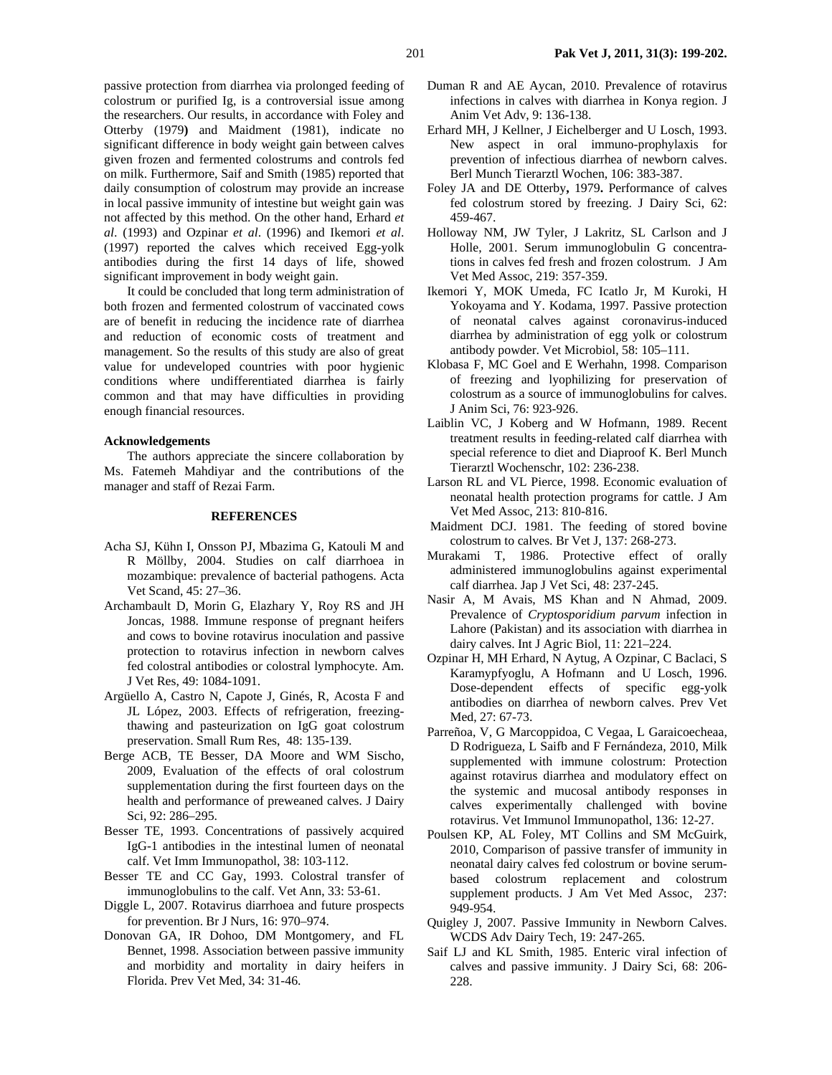passive protection from diarrhea via prolonged feeding of colostrum or purified Ig, is a controversial issue among the researchers. Our results, in accordance with Foley and Otterby (1979**)** and Maidment (1981), indicate no significant difference in body weight gain between calves given frozen and fermented colostrums and controls fed on milk. Furthermore, Saif and Smith (1985) reported that daily consumption of colostrum may provide an increase in local passive immunity of intestine but weight gain was not affected by this method. On the other hand, Erhard *et al*. (1993) and Ozpinar *et al*. (1996) and Ikemori *et al*. (1997) reported the calves which received Egg-yolk antibodies during the first 14 days of life, showed significant improvement in body weight gain.

It could be concluded that long term administration of both frozen and fermented colostrum of vaccinated cows are of benefit in reducing the incidence rate of diarrhea and reduction of economic costs of treatment and management. So the results of this study are also of great value for undeveloped countries with poor hygienic conditions where undifferentiated diarrhea is fairly common and that may have difficulties in providing enough financial resources.

#### **Acknowledgements**

The authors appreciate the sincere collaboration by Ms. Fatemeh Mahdiyar and the contributions of the manager and staff of Rezai Farm.

#### **REFERENCES**

- Acha SJ, Kühn I, Onsson PJ, Mbazima G, Katouli M and R Möllby, 2004. Studies on calf diarrhoea in mozambique: prevalence of bacterial pathogens. Acta Vet Scand, 45: 27–36.
- Archambault D, Morin G, Elazhary Y, Roy RS and JH Joncas, 1988. Immune response of pregnant heifers and cows to bovine rotavirus inoculation and passive protection to rotavirus infection in newborn calves fed colostral antibodies or colostral lymphocyte. Am. J Vet Res, 49: 1084-1091.
- Argüello A, Castro N, Capote J, Ginés, R, Acosta F and JL López, 2003. Effects of refrigeration, freezingthawing and pasteurization on IgG goat colostrum preservation. Small Rum Res, 48: 135-139.
- Berge ACB, TE Besser, DA Moore and WM Sischo, 2009, Evaluation of the effects of oral colostrum supplementation during the first fourteen days on the health and performance of preweaned calves. J Dairy Sci, 92: 286–295.
- Besser TE, 1993. Concentrations of passively acquired IgG-1 antibodies in the intestinal lumen of neonatal calf. Vet Imm Immunopathol, 38: 103-112.
- Besser TE and CC Gay, 1993. Colostral transfer of immunoglobulins to the calf. Vet Ann, 33: 53-61.
- Diggle L, 2007. Rotavirus diarrhoea and future prospects for prevention. Br J Nurs, 16: 970–974.
- Donovan GA, IR Dohoo, DM Montgomery, and FL Bennet, 1998. Association between passive immunity and morbidity and mortality in dairy heifers in Florida. Prev Vet Med, 34: 31-46.
- Duman R and AE Aycan, 2010. Prevalence of rotavirus infections in calves with diarrhea in Konya region. J Anim Vet Adv, 9: 136-138.
- Erhard MH, J Kellner, J Eichelberger and U Losch, 1993. New aspect in oral immuno-prophylaxis for prevention of infectious diarrhea of newborn calves. Berl Munch Tierarztl Wochen, 106: 383-387.
- Foley JA and DE Otterby**,** 1979**.** Performance of calves fed colostrum stored by freezing. J Dairy Sci, 62: 459-467.
- Holloway NM, JW Tyler, J Lakritz, SL Carlson and J Holle, 2001. Serum immunoglobulin G concentrations in calves fed fresh and frozen colostrum. J Am Vet Med Assoc, 219: 357-359.
- Ikemori Y, MOK Umeda, FC Icatlo Jr, M Kuroki, H Yokoyama and Y. Kodama, 1997. Passive protection of neonatal calves against coronavirus-induced diarrhea by administration of egg yolk or colostrum antibody powder. Vet Microbiol, 58: 105–111.
- Klobasa F, MC Goel and E Werhahn, 1998. Comparison of freezing and lyophilizing for preservation of colostrum as a source of immunoglobulins for calves. J Anim Sci, 76: 923-926.
- Laiblin VC, J Koberg and W Hofmann, 1989. Recent treatment results in feeding-related calf diarrhea with special reference to diet and Diaproof K. Berl Munch Tierarztl Wochenschr, 102: 236-238.
- Larson RL and VL Pierce, 1998. Economic evaluation of neonatal health protection programs for cattle. J Am Vet Med Assoc, 213: 810-816.
- Maidment DCJ. 1981. The feeding of stored bovine colostrum to calves. Br Vet J, 137: 268-273.
- Murakami T, 1986. Protective effect of orally administered immunoglobulins against experimental calf diarrhea. Jap J Vet Sci, 48: 237-245.
- Nasir A, M Avais, MS Khan and N Ahmad, 2009. Prevalence of *Cryptosporidium parvum* infection in Lahore (Pakistan) and its association with diarrhea in dairy calves. Int J Agric Biol, 11: 221–224.
- Ozpinar H, MH Erhard, N Aytug, A Ozpinar, C Baclaci, S Karamypfyoglu, A Hofmann and U Losch, 1996. Dose-dependent effects of specific egg-yolk antibodies on diarrhea of newborn calves. Prev Vet Med, 27: 67-73.
- Parreñoa, V, G Marcoppidoa, C Vegaa, L Garaicoecheaa, D Rodrigueza, L Saifb and F Fernándeza, 2010, Milk supplemented with immune colostrum: Protection against rotavirus diarrhea and modulatory effect on the systemic and mucosal antibody responses in calves experimentally challenged with bovine rotavirus. Vet Immunol Immunopathol, 136: 12-27.
- Poulsen KP, AL Foley, MT Collins and SM McGuirk, 2010, Comparison of passive transfer of immunity in neonatal dairy calves fed colostrum or bovine serumbased colostrum replacement and colostrum supplement products. J Am Vet Med Assoc, 237: 949-954.
- Quigley J, 2007. Passive Immunity in Newborn Calves. WCDS Adv Dairy Tech, 19: 247-265.
- Saif LJ and KL Smith, 1985. Enteric viral infection of calves and passive immunity. J Dairy Sci, 68: 206- 228.